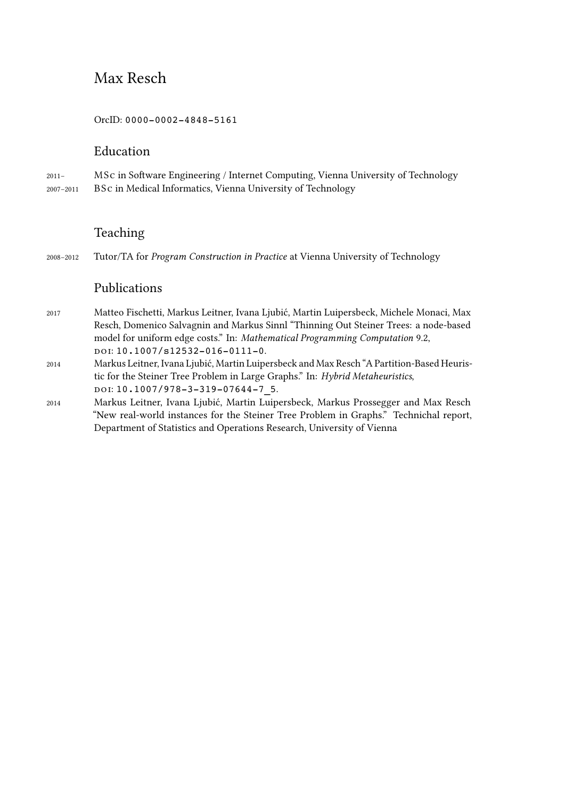# Max Resch

OrcID: [0000-0002-4848-5161](https://orcid.org/0000-0002-4848-5161)

## Education

| $2011 -$      | MSc in Software Engineering / Internet Computing, Vienna University of Technology |
|---------------|-----------------------------------------------------------------------------------|
| $2007 - 2011$ | BSc in Medical Informatics, Vienna University of Technology                       |

## Teaching

2008–2012 Tutor/TA for *Program Construction in Practice* at Vienna University of Technology

#### Publications

- 2017 Matteo Fischetti, Markus Leitner, Ivana Ljubić, Martin Luipersbeck, Michele Monaci, Max Resch, Domenico Salvagnin and Markus Sinnl "Thinning Out Steiner Trees: a node-based model for uniform edge costs." In: *Mathematical Programming Computation* 9.2, do i: [10.1007/s12532-016-0111-0](https://doi.org/10.1007/s12532-016-0111-0).
- 2014 Markus Leitner, Ivana Ljubić, Martin Luipersbeck and Max Resch "A Partition-Based Heuristic for the Steiner Tree Problem in Large Graphs." In: *Hybrid Metaheuristics*, DOI: 10.1007/978-3-319-07644-7 5.
- 2014 Markus Leitner, Ivana Ljubić, Martin Luipersbeck, Markus Prossegger and Max Resch "New real-world instances for the Steiner Tree Problem in Graphs." Technichal report, Department of Statistics and Operations Research, University of Vienna